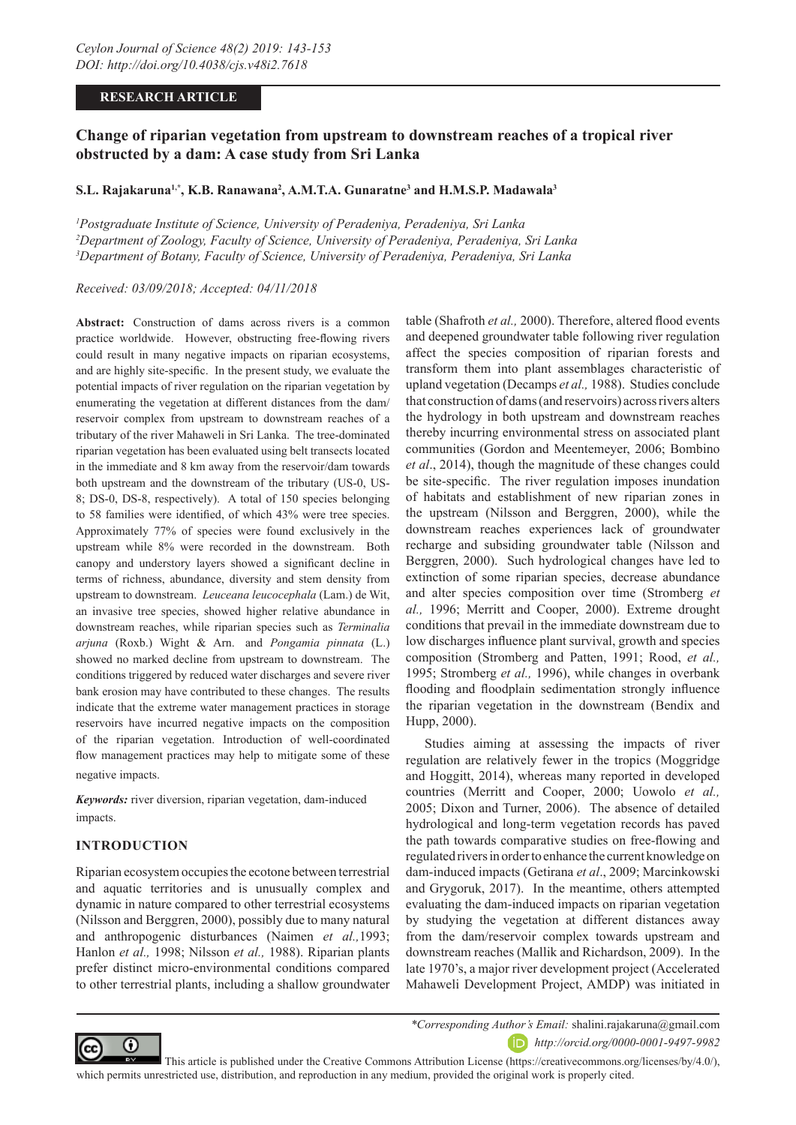## **RESEARCH ARTICLE**

# **Change of riparian vegetation from upstream to downstream reaches of a tropical river obstructed by a dam: A case study from Sri Lanka**

# **S.L. Rajakaruna1,\*, K.B. Ranawana2 , A.M.T.A. Gunaratne3 and H.M.S.P. Madawala3**

*1 Postgraduate Institute of Science, University of Peradeniya, Peradeniya, Sri Lanka 2 Department of Zoology, Faculty of Science, University of Peradeniya, Peradeniya, Sri Lanka 3 Department of Botany, Faculty of Science, University of Peradeniya, Peradeniya, Sri Lanka*

*Received: 03/09/2018; Accepted: 04/11/2018*

**Abstract:** Construction of dams across rivers is a common practice worldwide. However, obstructing free-flowing rivers could result in many negative impacts on riparian ecosystems, and are highly site-specific. In the present study, we evaluate the potential impacts of river regulation on the riparian vegetation by enumerating the vegetation at different distances from the dam/ reservoir complex from upstream to downstream reaches of a tributary of the river Mahaweli in Sri Lanka. The tree-dominated riparian vegetation has been evaluated using belt transects located in the immediate and 8 km away from the reservoir/dam towards both upstream and the downstream of the tributary (US-0, US-8; DS-0, DS-8, respectively). A total of 150 species belonging to 58 families were identified, of which 43% were tree species. Approximately 77% of species were found exclusively in the upstream while 8% were recorded in the downstream. Both canopy and understory layers showed a significant decline in terms of richness, abundance, diversity and stem density from upstream to downstream. *Leuceana leucocephala* (Lam.) de Wit, an invasive tree species, showed higher relative abundance in downstream reaches, while riparian species such as *Terminalia arjuna* (Roxb.) Wight & Arn. and *Pongamia pinnata* (L.) showed no marked decline from upstream to downstream. The conditions triggered by reduced water discharges and severe river bank erosion may have contributed to these changes. The results indicate that the extreme water management practices in storage reservoirs have incurred negative impacts on the composition of the riparian vegetation. Introduction of well-coordinated flow management practices may help to mitigate some of these negative impacts.

*Keywords:* river diversion, riparian vegetation, dam-induced impacts.

## **INTRODUCTION**

Riparian ecosystem occupies the ecotone between terrestrial and aquatic territories and is unusually complex and dynamic in nature compared to other terrestrial ecosystems (Nilsson and Berggren, 2000), possibly due to many natural and anthropogenic disturbances (Naimen *et al.,*1993; Hanlon *et al.,* 1998; Nilsson *et al.,* 1988). Riparian plants prefer distinct micro-environmental conditions compared to other terrestrial plants, including a shallow groundwater

table (Shafroth *et al.,* 2000). Therefore, altered flood events and deepened groundwater table following river regulation affect the species composition of riparian forests and transform them into plant assemblages characteristic of upland vegetation (Decamps *et al.,* 1988). Studies conclude that construction of dams (and reservoirs) across rivers alters the hydrology in both upstream and downstream reaches thereby incurring environmental stress on associated plant communities (Gordon and Meentemeyer, 2006; Bombino *et al*., 2014), though the magnitude of these changes could be site-specific. The river regulation imposes inundation of habitats and establishment of new riparian zones in the upstream (Nilsson and Berggren, 2000), while the downstream reaches experiences lack of groundwater recharge and subsiding groundwater table (Nilsson and Berggren, 2000). Such hydrological changes have led to extinction of some riparian species, decrease abundance and alter species composition over time (Stromberg *et al.,* 1996; Merritt and Cooper, 2000). Extreme drought conditions that prevail in the immediate downstream due to low discharges influence plant survival, growth and species composition (Stromberg and Patten, 1991; Rood, *et al.,* 1995; Stromberg *et al.,* 1996), while changes in overbank flooding and floodplain sedimentation strongly influence the riparian vegetation in the downstream (Bendix and Hupp, 2000).

Studies aiming at assessing the impacts of river regulation are relatively fewer in the tropics (Moggridge and Hoggitt, 2014), whereas many reported in developed countries (Merritt and Cooper, 2000; Uowolo *et al.,* 2005; Dixon and Turner, 2006). The absence of detailed hydrological and long-term vegetation records has paved the path towards comparative studies on free-flowing and regulated rivers in order to enhance the current knowledge on dam-induced impacts (Getirana *et al*., 2009; Marcinkowski and Grygoruk, 2017). In the meantime, others attempted evaluating the dam-induced impacts on riparian vegetation by studying the vegetation at different distances away from the dam/reservoir complex towards upstream and downstream reaches (Mallik and Richardson, 2009). In the late 1970's, a major river development project (Accelerated Mahaweli Development Project, AMDP) was initiated in



*\*Corresponding Author's Email:* shalini.rajakaruna@gmail.com *http://orcid.org/0000-0001-9497-9982* 

 This article is published under the Creative Commons Attribution License (https://creativecommons.org/licenses/by/4.0/), which permits unrestricted use, distribution, and reproduction in any medium, provided the original work is properly cited.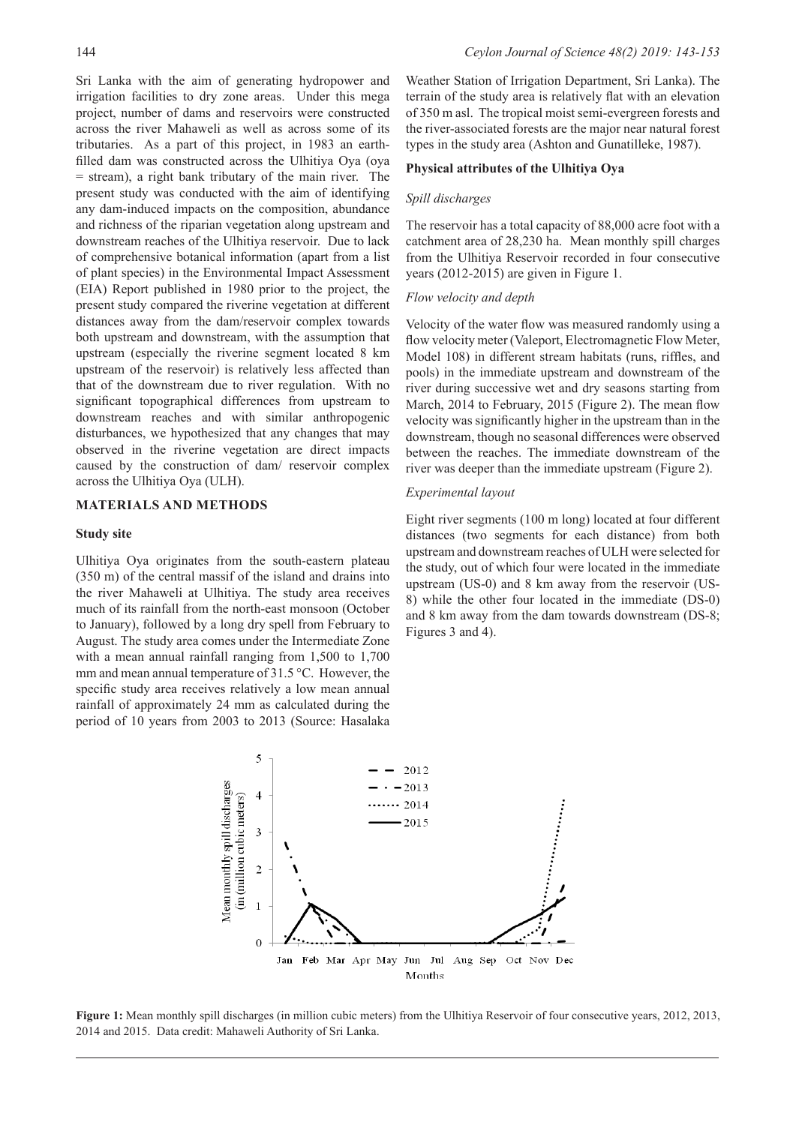Sri Lanka with the aim of generating hydropower and irrigation facilities to dry zone areas. Under this mega project, number of dams and reservoirs were constructed across the river Mahaweli as well as across some of its tributaries. As a part of this project, in 1983 an earthfilled dam was constructed across the Ulhitiya Oya (oya = stream), a right bank tributary of the main river. The present study was conducted with the aim of identifying any dam-induced impacts on the composition, abundance and richness of the riparian vegetation along upstream and downstream reaches of the Ulhitiya reservoir. Due to lack of comprehensive botanical information (apart from a list of plant species) in the Environmental Impact Assessment (EIA) Report published in 1980 prior to the project, the present study compared the riverine vegetation at different distances away from the dam/reservoir complex towards both upstream and downstream, with the assumption that upstream (especially the riverine segment located 8 km upstream of the reservoir) is relatively less affected than that of the downstream due to river regulation. With no significant topographical differences from upstream to downstream reaches and with similar anthropogenic disturbances, we hypothesized that any changes that may observed in the riverine vegetation are direct impacts caused by the construction of dam/ reservoir complex across the Ulhitiya Oya (ULH).

## **MATERIALS AND METHODS**

## **Study site**

Ulhitiya Oya originates from the south-eastern plateau (350 m) of the central massif of the island and drains into the river Mahaweli at Ulhitiya. The study area receives much of its rainfall from the north-east monsoon (October to January), followed by a long dry spell from February to August. The study area comes under the Intermediate Zone with a mean annual rainfall ranging from 1,500 to 1,700 mm and mean annual temperature of 31.5 °C. However, the specific study area receives relatively a low mean annual rainfall of approximately 24 mm as calculated during the period of 10 years from 2003 to 2013 (Source: Hasalaka

Weather Station of Irrigation Department, Sri Lanka). The terrain of the study area is relatively flat with an elevation of 350 m asl. The tropical moist semi-evergreen forests and the river-associated forests are the major near natural forest types in the study area (Ashton and Gunatilleke, 1987).

## **Physical attributes of the Ulhitiya Oya**

#### *Spill discharges*

The reservoir has a total capacity of 88,000 acre foot with a catchment area of 28,230 ha. Mean monthly spill charges from the Ulhitiya Reservoir recorded in four consecutive years (2012-2015) are given in Figure 1.

### *Flow velocity and depth*

Velocity of the water flow was measured randomly using a flow velocity meter (Valeport, Electromagnetic Flow Meter, Model 108) in different stream habitats (runs, riffles, and pools) in the immediate upstream and downstream of the river during successive wet and dry seasons starting from March, 2014 to February, 2015 (Figure 2). The mean flow velocity was significantly higher in the upstream than in the downstream, though no seasonal differences were observed between the reaches. The immediate downstream of the river was deeper than the immediate upstream (Figure 2).

### *Experimental layout*

Eight river segments (100 m long) located at four different distances (two segments for each distance) from both upstream and downstream reaches of ULH were selected for the study, out of which four were located in the immediate upstream (US-0) and 8 km away from the reservoir (US-8) while the other four located in the immediate (DS-0) and 8 km away from the dam towards downstream (DS-8; Figures 3 and 4).



**Figure 1:** Mean monthly spill discharges (in million cubic meters) from the Ulhitiya Reservoir of four consecutive years, 2012, 2013, 2014 and 2015. Data credit: Mahaweli Authority of Sri Lanka.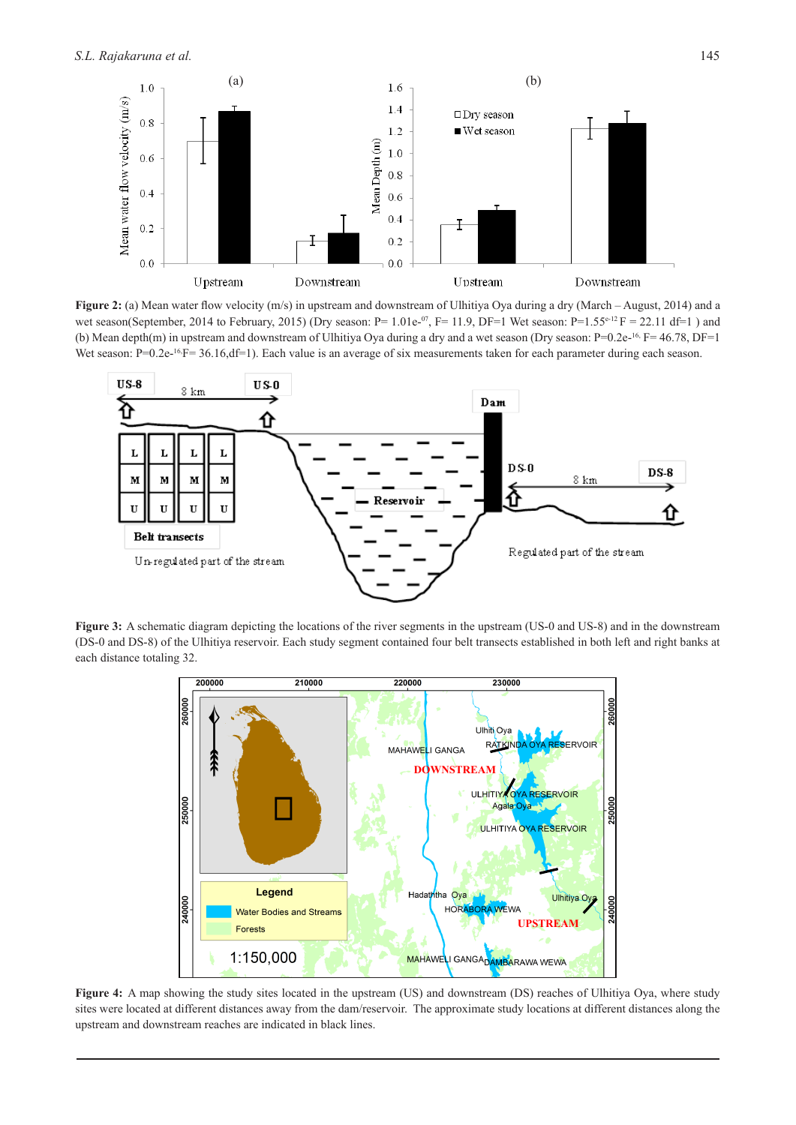

**Figure 2:** (a) Mean water flow velocity (m/s) in upstream and downstream of Ulhitiya Oya during a dry (March – August, 2014) and a wet season(September, 2014 to February, 2015) (Dry season:  $P = 1.01e^{-0.7}$ ,  $F = 11.9$ ,  $DF = 1$  Wet season:  $P = 1.55e^{-12}$   $F = 22.11$  df=1) and (b) Mean depth(m) in upstream and downstream of Ulhitiya Oya during a dry and a wet season (Dry season: P=0.2e-16, F= 46.78, DF=1 Wet season: P=0.2e-<sup>16</sup>;F= 36.16,df=1). Each value is an average of six measurements taken for each parameter during each season.



**Figure 3:** A schematic diagram depicting the locations of the river segments in the upstream (US-0 and US-8) and in the downstream (DS-0 and DS-8) of the Ulhitiya reservoir. Each study segment contained four belt transects established in both left and right banks at each distance totaling 32.



**Figure 4:** A map showing the study sites located in the upstream (US) and downstream (DS) reaches of Ulhitiya Oya, where study sites were located at different distances away from the dam/reservoir. The approximate study locations at different distances along the upstream and downstream reaches are indicated in black lines.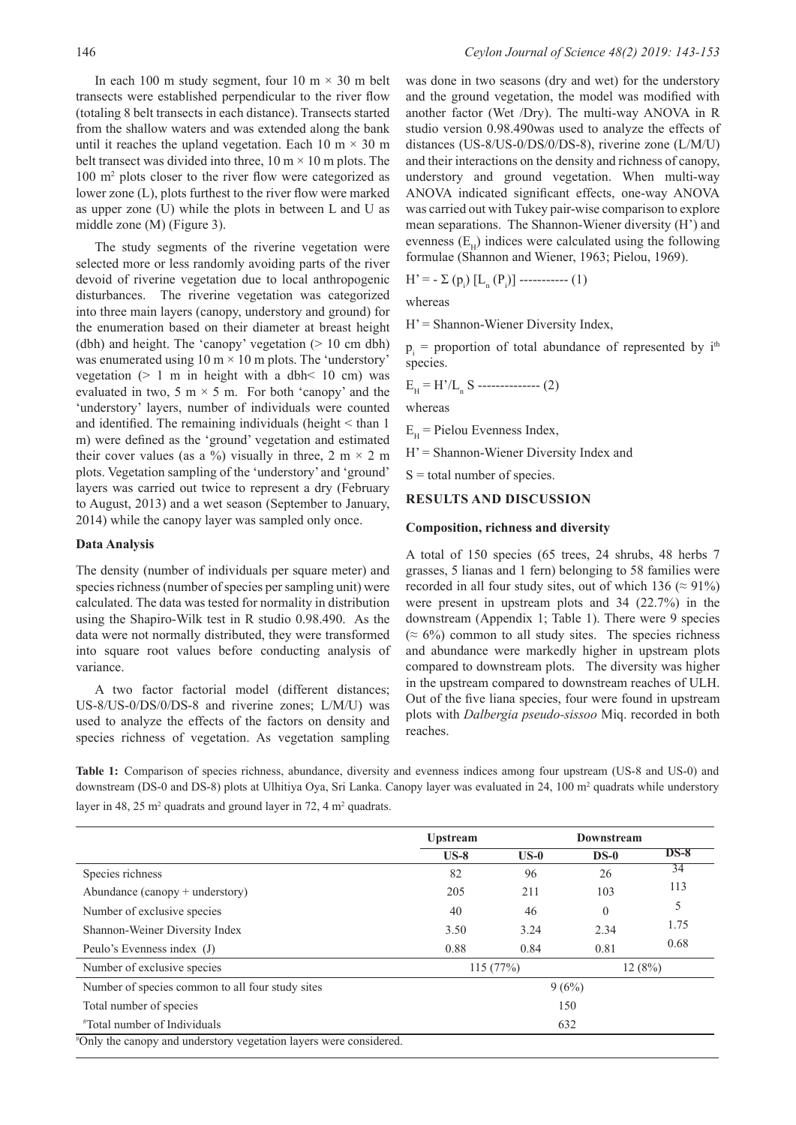In each 100 m study segment, four 10 m  $\times$  30 m belt transects were established perpendicular to the river flow (totaling 8 belt transects in each distance). Transects started from the shallow waters and was extended along the bank until it reaches the upland vegetation. Each 10 m  $\times$  30 m belt transect was divided into three,  $10 \text{ m} \times 10 \text{ m}$  plots. The 100 m<sup>2</sup> plots closer to the river flow were categorized as lower zone (L), plots furthest to the river flow were marked as upper zone (U) while the plots in between L and U as middle zone (M) (Figure 3).

The study segments of the riverine vegetation were selected more or less randomly avoiding parts of the river devoid of riverine vegetation due to local anthropogenic disturbances. The riverine vegetation was categorized into three main layers (canopy, understory and ground) for the enumeration based on their diameter at breast height (dbh) and height. The 'canopy' vegetation (> 10 cm dbh) was enumerated using  $10 \text{ m} \times 10 \text{ m}$  plots. The 'understory' vegetation  $(> 1 \text{ m}$  in height with a dbh $< 10 \text{ cm}$ ) was evaluated in two, 5 m  $\times$  5 m. For both 'canopy' and the 'understory' layers, number of individuals were counted and identified. The remaining individuals (height < than 1 m) were defined as the 'ground' vegetation and estimated their cover values (as a %) visually in three,  $2 \text{ m} \times 2 \text{ m}$ plots. Vegetation sampling of the 'understory' and 'ground' layers was carried out twice to represent a dry (February to August, 2013) and a wet season (September to January, 2014) while the canopy layer was sampled only once.

#### **Data Analysis**

The density (number of individuals per square meter) and species richness (number of species per sampling unit) were calculated. The data was tested for normality in distribution using the Shapiro-Wilk test in R studio 0.98.490. As the data were not normally distributed, they were transformed into square root values before conducting analysis of variance.

A two factor factorial model (different distances; US-8/US-0/DS/0/DS-8 and riverine zones; L/M/U) was used to analyze the effects of the factors on density and species richness of vegetation. As vegetation sampling was done in two seasons (dry and wet) for the understory and the ground vegetation, the model was modified with another factor (Wet /Dry). The multi-way ANOVA in R studio version 0.98.490was used to analyze the effects of distances (US-8/US-0/DS/0/DS-8), riverine zone (L/M/U) and their interactions on the density and richness of canopy, understory and ground vegetation. When multi-way ANOVA indicated significant effects, one-way ANOVA was carried out with Tukey pair-wise comparison to explore mean separations. The Shannon-Wiener diversity (H') and evenness  $(E_{\mu})$  indices were calculated using the following formulae (Shannon and Wiener, 1963; Pielou, 1969).

$$
H' = -\sum (p_i) [L_n (P_i)] \dots (1)
$$

whereas

 $H' =$  Shannon-Wiener Diversity Index,

 $p_i$  = proportion of total abundance of represented by  $i<sup>th</sup>$ species.

$$
E_{\rm H} = H'/L_{\rm n} S
$$
 \n
$$
= (2)
$$

whereas

 $E_{\mu}$  = Pielou Evenness Index,

H' = Shannon-Wiener Diversity Index and

 $S =$  total number of species.

### **RESULTS AND DISCUSSION**

#### **Composition, richness and diversity**

A total of 150 species (65 trees, 24 shrubs, 48 herbs 7 grasses, 5 lianas and 1 fern) belonging to 58 families were recorded in all four study sites, out of which 136 ( $\approx$  91%) were present in upstream plots and 34 (22.7%) in the downstream (Appendix 1; Table 1). There were 9 species  $(\approx 6\%)$  common to all study sites. The species richness and abundance were markedly higher in upstream plots compared to downstream plots. The diversity was higher in the upstream compared to downstream reaches of ULH. Out of the five liana species, four were found in upstream plots with *Dalbergia pseudo-sissoo* Miq. recorded in both reaches.

**Table 1:** Comparison of species richness, abundance, diversity and evenness indices among four upstream (US-8 and US-0) and downstream (DS-0 and DS-8) plots at Ulhitiya Oya, Sri Lanka. Canopy layer was evaluated in 24, 100 m<sup>2</sup> quadrats while understory layer in 48, 25 m<sup>2</sup> quadrats and ground layer in 72, 4 m<sup>2</sup> quadrats.

|                                                  | <b>Upstream</b> |        | Downstream |        |  |  |  |
|--------------------------------------------------|-----------------|--------|------------|--------|--|--|--|
|                                                  | $US-8$          | $US-0$ | $DS-0$     | $DS-8$ |  |  |  |
| Species richness                                 | 82              | 96     | 26         | 34     |  |  |  |
| Abundance $(canopy + undersitory)$               | 205             | 211    | 103        | 113    |  |  |  |
| Number of exclusive species                      | 40              | 46     | $\theta$   | 5      |  |  |  |
| Shannon-Weiner Diversity Index                   | 3.50            | 3.24   | 2.34       | 1.75   |  |  |  |
| Peulo's Evenness index (J)                       | 0.88            | 0.84   | 0.81       | 0.68   |  |  |  |
| Number of exclusive species                      | 115(77%)        |        | 12(8%)     |        |  |  |  |
| Number of species common to all four study sites |                 | 9(6%)  |            |        |  |  |  |
| Total number of species                          |                 | 150    |            |        |  |  |  |
| <i>*</i> Total number of Individuals             |                 | 632    |            |        |  |  |  |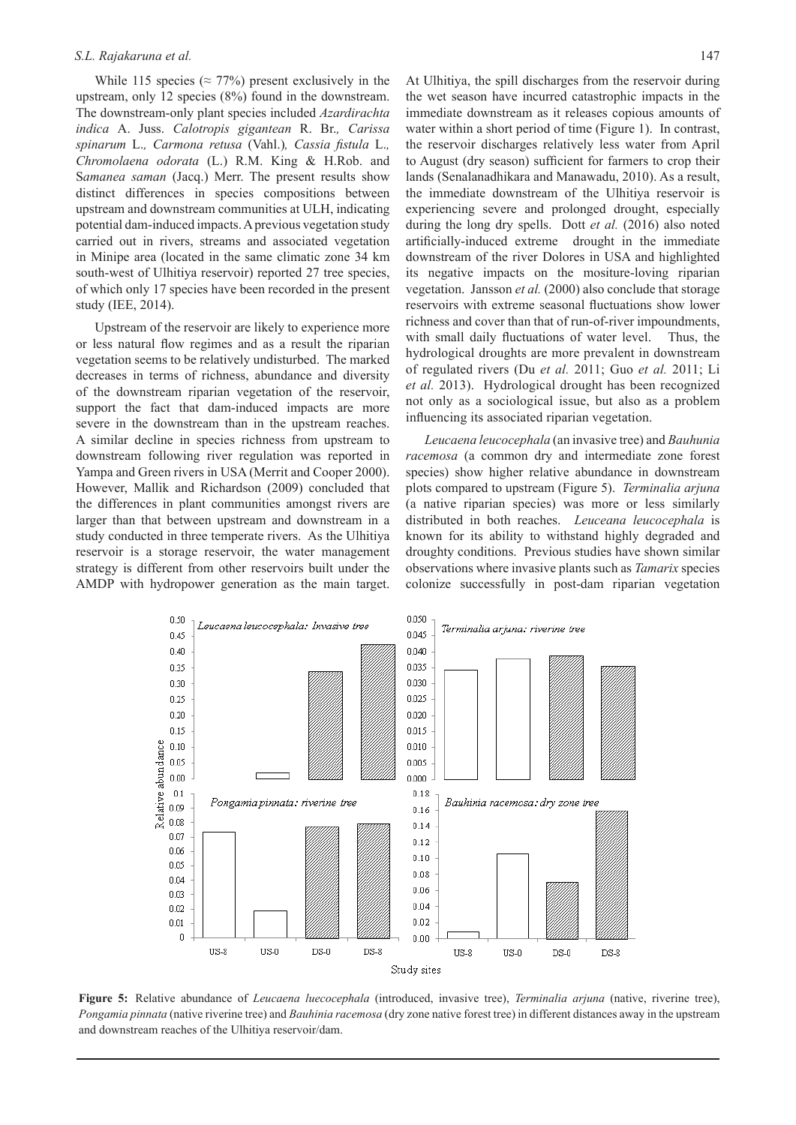#### *S.L. Rajakaruna et al.* 147

While 115 species ( $\approx$  77%) present exclusively in the upstream, only 12 species (8%) found in the downstream. The downstream-only plant species included *Azardirachta indica* A. Juss. *Calotropis gigantean* R. Br.*, Carissa spinarum* L.*, Carmona retusa* (Vahl.)*, Cassia fistula* L.*, Chromolaena odorata* (L.) R.M. King & H.Rob. and S*amanea saman* (Jacq.) Merr. The present results show distinct differences in species compositions between upstream and downstream communities at ULH, indicating potential dam-induced impacts. A previous vegetation study carried out in rivers, streams and associated vegetation in Minipe area (located in the same climatic zone 34 km south-west of Ulhitiya reservoir) reported 27 tree species, of which only 17 species have been recorded in the present study (IEE, 2014).

Upstream of the reservoir are likely to experience more or less natural flow regimes and as a result the riparian vegetation seems to be relatively undisturbed. The marked decreases in terms of richness, abundance and diversity of the downstream riparian vegetation of the reservoir, support the fact that dam-induced impacts are more severe in the downstream than in the upstream reaches. A similar decline in species richness from upstream to downstream following river regulation was reported in Yampa and Green rivers in USA (Merrit and Cooper 2000). However, Mallik and Richardson (2009) concluded that the differences in plant communities amongst rivers are larger than that between upstream and downstream in a study conducted in three temperate rivers. As the Ulhitiya reservoir is a storage reservoir, the water management strategy is different from other reservoirs built under the AMDP with hydropower generation as the main target.

At Ulhitiya, the spill discharges from the reservoir during the wet season have incurred catastrophic impacts in the immediate downstream as it releases copious amounts of water within a short period of time (Figure 1). In contrast, the reservoir discharges relatively less water from April to August (dry season) sufficient for farmers to crop their lands (Senalanadhikara and Manawadu, 2010). As a result, the immediate downstream of the Ulhitiya reservoir is experiencing severe and prolonged drought, especially during the long dry spells. Dott *et al.* (2016) also noted artificially-induced extreme drought in the immediate downstream of the river Dolores in USA and highlighted its negative impacts on the mositure-loving riparian vegetation. Jansson *et al.* (2000) also conclude that storage reservoirs with extreme seasonal fluctuations show lower richness and cover than that of run-of-river impoundments, with small daily fluctuations of water level. Thus, the hydrological droughts are more prevalent in downstream of regulated rivers (Du *et al.* 2011; Guo *et al.* 2011; Li *et al.* 2013). Hydrological drought has been recognized not only as a sociological issue, but also as a problem influencing its associated riparian vegetation.

*Leucaena leucocephala* (an invasive tree) and *Bauhunia racemosa* (a common dry and intermediate zone forest species) show higher relative abundance in downstream plots compared to upstream (Figure 5). *Terminalia arjuna* (a native riparian species) was more or less similarly distributed in both reaches. *Leuceana leucocephala* is known for its ability to withstand highly degraded and droughty conditions. Previous studies have shown similar observations where invasive plants such as *Tamarix* species colonize successfully in post-dam riparian vegetation



**Figure 5:** Relative abundance of *Leucaena luecocephala* (introduced, invasive tree), *Terminalia arjuna* (native, riverine tree), *Pongamia pinnata* (native riverine tree) and *Bauhinia racemosa* (dry zone native forest tree) in different distances away in the upstream and downstream reaches of the Ulhitiya reservoir/dam.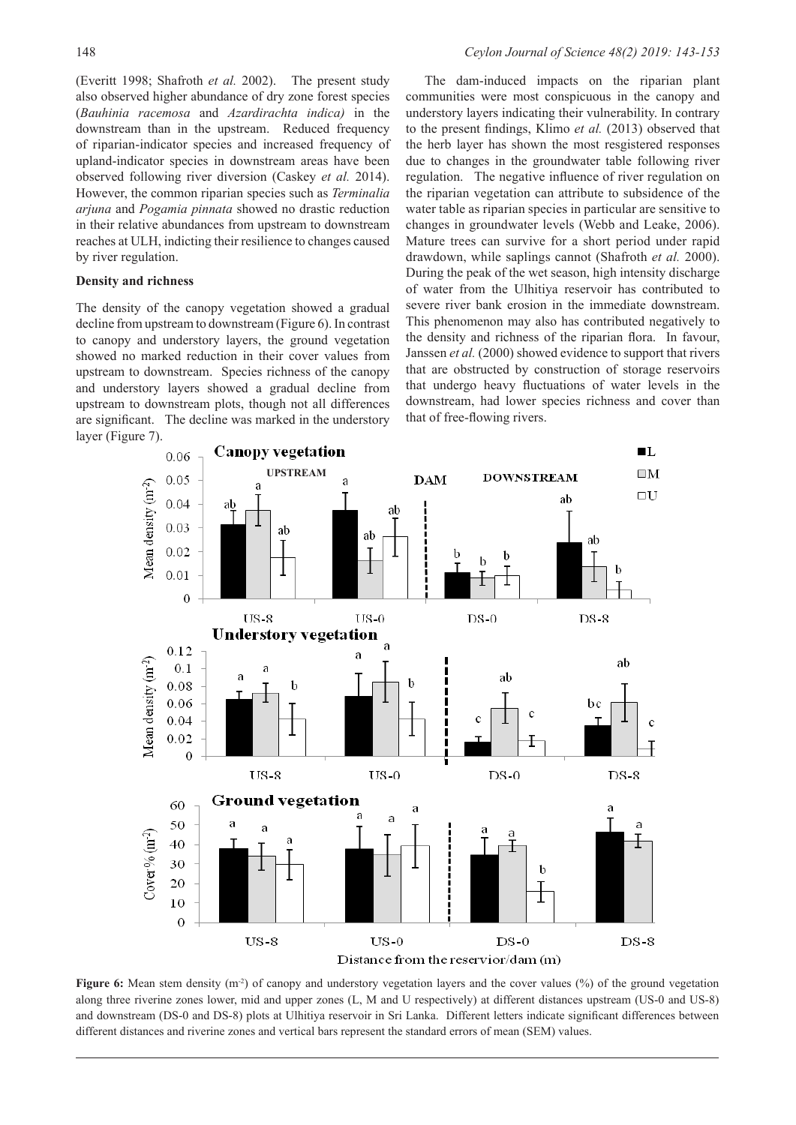(Everitt 1998; Shafroth *et al.* 2002). The present study also observed higher abundance of dry zone forest species (*Bauhinia racemosa* and *Azardirachta indica)* in the downstream than in the upstream. Reduced frequency of riparian-indicator species and increased frequency of upland-indicator species in downstream areas have been observed following river diversion (Caskey *et al.* 2014). However, the common riparian species such as *Terminalia arjuna* and *Pogamia pinnata* showed no drastic reduction in their relative abundances from upstream to downstream reaches at ULH, indicting their resilience to changes caused by river regulation.

## **Density and richness**

The density of the canopy vegetation showed a gradual decline from upstream to downstream (Figure 6). In contrast to canopy and understory layers, the ground vegetation showed no marked reduction in their cover values from upstream to downstream. Species richness of the canopy and understory layers showed a gradual decline from upstream to downstream plots, though not all differences are significant. The decline was marked in the understory layer (Figure 7).

The dam-induced impacts on the riparian plant communities were most conspicuous in the canopy and understory layers indicating their vulnerability. In contrary to the present findings, Klimo *et al.* (2013) observed that the herb layer has shown the most resgistered responses due to changes in the groundwater table following river regulation. The negative influence of river regulation on the riparian vegetation can attribute to subsidence of the water table as riparian species in particular are sensitive to changes in groundwater levels (Webb and Leake, 2006). Mature trees can survive for a short period under rapid drawdown, while saplings cannot (Shafroth *et al.* 2000). During the peak of the wet season, high intensity discharge of water from the Ulhitiya reservoir has contributed to severe river bank erosion in the immediate downstream. This phenomenon may also has contributed negatively to the density and richness of the riparian flora. In favour, Janssen *et al.* (2000) showed evidence to support that rivers that are obstructed by construction of storage reservoirs that undergo heavy fluctuations of water levels in the downstream, had lower species richness and cover than that of free-flowing rivers.



**Figure 6:** Mean stem density (m<sup>-2</sup>) of canopy and understory vegetation layers and the cover values (%) of the ground vegetation along three riverine zones lower, mid and upper zones (L, M and U respectively) at different distances upstream (US-0 and US-8) and downstream (DS-0 and DS-8) plots at Ulhitiya reservoir in Sri Lanka. Different letters indicate significant differences between different distances and riverine zones and vertical bars represent the standard errors of mean (SEM) values.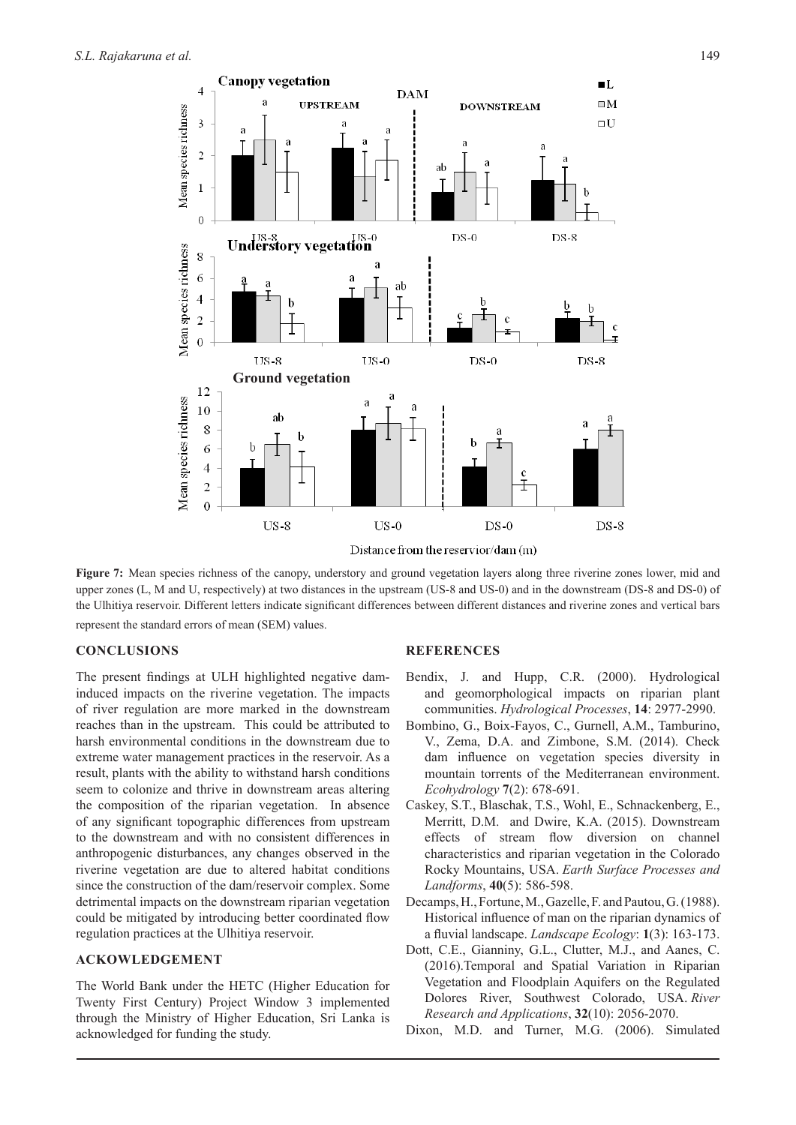

Figure 7: Mean species richness of the canopy, understory and ground vegetation layers along three riverine zones lower, mid and upper zones (L, M and U, respectively) at two distances in the upstream (US-8 and US-0) and in the downstream (DS-8 and DS-0) of the Ulhitiya reservoir. Different letters indicate significant differences between different distances and riverine zones and vertical bars represent the standard errors of mean (SEM) values.

## **CONCLUSIONS**

The present findings at ULH highlighted negative daminduced impacts on the riverine vegetation. The impacts of river regulation are more marked in the downstream reaches than in the upstream. This could be attributed to harsh environmental conditions in the downstream due to extreme water management practices in the reservoir. As a result, plants with the ability to withstand harsh conditions seem to colonize and thrive in downstream areas altering the composition of the riparian vegetation. In absence of any significant topographic differences from upstream to the downstream and with no consistent differences in anthropogenic disturbances, any changes observed in the riverine vegetation are due to altered habitat conditions since the construction of the dam/reservoir complex. Some detrimental impacts on the downstream riparian vegetation could be mitigated by introducing better coordinated flow regulation practices at the Ulhitiya reservoir.

## **ACKOWLEDGEMENT**

The World Bank under the HETC (Higher Education for Twenty First Century) Project Window 3 implemented through the Ministry of Higher Education, Sri Lanka is acknowledged for funding the study.

## **REFERENCES**

- Bendix, J. and Hupp, C.R. (2000). Hydrological and geomorphological impacts on riparian plant communities. *Hydrological Processes*, **14**: 2977-2990.
- Bombino, G., Boix-Fayos, C., Gurnell, A.M., Tamburino, V., Zema, D.A. and Zimbone, S.M. (2014). Check dam influence on vegetation species diversity in mountain torrents of the Mediterranean environment. *Ecohydrology* **7**(2): 678-691.
- Caskey, S.T., Blaschak, T.S., Wohl, E., Schnackenberg, E., Merritt, D.M. and Dwire, K.A. (2015). Downstream effects of stream flow diversion on channel characteristics and riparian vegetation in the Colorado Rocky Mountains, USA. *Earth Surface Processes and Landforms*, **40**(5): 586-598.
- Decamps, H., Fortune, M., Gazelle, F. and Pautou, G. (1988). Historical influence of man on the riparian dynamics of a fluvial landscape. *Landscape Ecology*: **1**(3): 163-173.
- Dott, C.E., Gianniny, G.L., Clutter, M.J., and Aanes, C. (2016).Temporal and Spatial Variation in Riparian Vegetation and Floodplain Aquifers on the Regulated Dolores River, Southwest Colorado, USA. *River Research and Applications*, **32**(10): 2056-2070.
- Dixon, M.D. and Turner, M.G. (2006). Simulated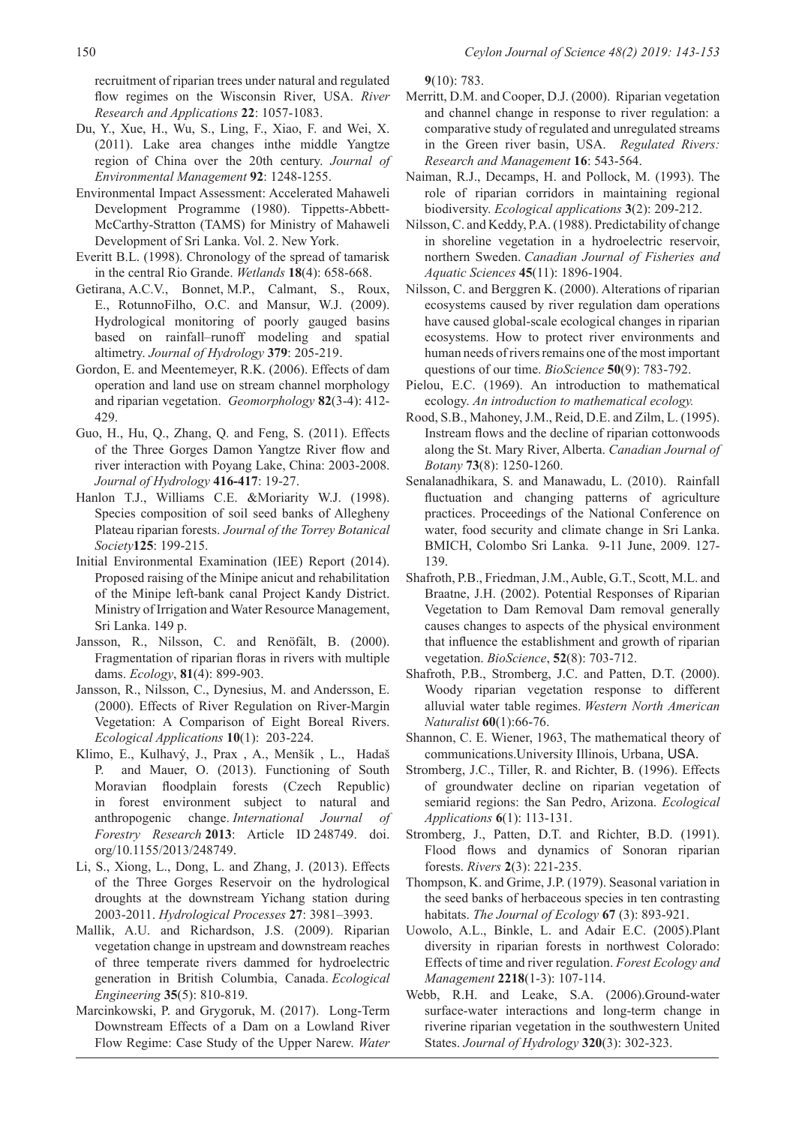recruitment of riparian trees under natural and regulated flow regimes on the Wisconsin River, USA. *River Research and Applications* **22**: 1057-1083.

- Du, Y., Xue, H., Wu, S., Ling, F., Xiao, F. and Wei, X. (2011). Lake area changes inthe middle Yangtze region of China over the 20th century. *Journal of Environmental Management* **92**: 1248-1255.
- Environmental Impact Assessment: Accelerated Mahaweli Development Programme (1980). Tippetts-Abbett-McCarthy-Stratton (TAMS) for Ministry of Mahaweli Development of Sri Lanka. Vol. 2. New York.
- Everitt B.L. (1998). Chronology of the spread of tamarisk in the central Rio Grande. *Wetlands* **18**(4): 658-668.
- Getirana, A.C.V., Bonnet, M.P., Calmant, S., Roux, E., RotunnoFilho, O.C. and Mansur, W.J. (2009). Hydrological monitoring of poorly gauged basins based on rainfall–runoff modeling and spatial altimetry. *Journal of Hydrology* **379**: 205-219.
- Gordon, E. and Meentemeyer, R.K. (2006). Effects of dam operation and land use on stream channel morphology and riparian vegetation. *Geomorphology* **82**(3-4): 412- 429.
- Guo, H., Hu, Q., Zhang, Q. and Feng, S. (2011). Effects of the Three Gorges Damon Yangtze River flow and river interaction with Poyang Lake, China: 2003-2008. *Journal of Hydrology* **416-417**: 19-27.
- Hanlon T.J., Williams C.E. &Moriarity W.J. (1998). Species composition of soil seed banks of Allegheny Plateau riparian forests. *Journal of the Torrey Botanical Society***125**: 199-215.
- Initial Environmental Examination (IEE) Report (2014). Proposed raising of the Minipe anicut and rehabilitation of the Minipe left-bank canal Project Kandy District. Ministry of Irrigation and Water Resource Management, Sri Lanka. 149 p.
- Jansson, R., Nilsson, C. and Renöfält, B. (2000). Fragmentation of riparian floras in rivers with multiple dams. *Ecology*, **81**(4): 899-903.
- Jansson, R., Nilsson, C., Dynesius, M. and Andersson, E. (2000). Effects of River Regulation on River-Margin Vegetation: A Comparison of Eight Boreal Rivers. *Ecological Applications* **10**(1): 203-224.
- Klimo, E., Kulhavý, J., Prax , A., Menšík , L., Hadaš P. and Mauer, O. (2013). Functioning of South Moravian floodplain forests (Czech Republic) in forest environment subject to natural and anthropogenic change. *International Journal of Forestry Research* **2013**: Article ID 248749. doi. org/10.1155/2013/248749.
- Li, S., Xiong, L., Dong, L. and Zhang, J. (2013). Effects of the Three Gorges Reservoir on the hydrological droughts at the downstream Yichang station during 2003-2011. *Hydrological Processes* **27**: 3981–3993.
- Mallik, A.U. and Richardson, J.S. (2009). Riparian vegetation change in upstream and downstream reaches of three temperate rivers dammed for hydroelectric generation in British Columbia, Canada. *Ecological Engineering* **35**(5): 810-819.
- Marcinkowski, P. and Grygoruk, M. (2017). Long-Term Downstream Effects of a Dam on a Lowland River Flow Regime: Case Study of the Upper Narew. *Water*

**9**(10): 783.

- Merritt, D.M. and Cooper, D.J. (2000). Riparian vegetation and channel change in response to river regulation: a comparative study of regulated and unregulated streams in the Green river basin, USA. *Regulated Rivers: Research and Management* **16**: 543-564.
- Naiman, R.J., Decamps, H. and Pollock, M. (1993). The role of riparian corridors in maintaining regional biodiversity. *Ecological applications* **3**(2): 209-212.
- Nilsson, C. and Keddy, P.A. (1988). Predictability of change in shoreline vegetation in a hydroelectric reservoir, northern Sweden. *Canadian Journal of Fisheries and Aquatic Sciences* **45**(11): 1896-1904.
- Nilsson, C. and Berggren K. (2000). Alterations of riparian ecosystems caused by river regulation dam operations have caused global-scale ecological changes in riparian ecosystems. How to protect river environments and human needs of rivers remains one of the most important questions of our time. *BioScience* **50**(9): 783-792.
- Pielou, E.C. (1969). An introduction to mathematical ecology. *An introduction to mathematical ecology.*
- Rood, S.B., Mahoney, J.M., Reid, D.E. and Zilm, L. (1995). Instream flows and the decline of riparian cottonwoods along the St. Mary River, Alberta. *Canadian Journal of Botany* **73**(8): 1250-1260.
- Senalanadhikara, S. and Manawadu, L. (2010). Rainfall fluctuation and changing patterns of agriculture practices. Proceedings of the National Conference on water, food security and climate change in Sri Lanka. BMICH, Colombo Sri Lanka. 9-11 June, 2009. 127- 139.
- Shafroth, P.B., Friedman, J.M., Auble, G.T., Scott, M.L. and Braatne, J.H. (2002). Potential Responses of Riparian Vegetation to Dam Removal Dam removal generally causes changes to aspects of the physical environment that influence the establishment and growth of riparian vegetation. *BioScience*, **52**(8): 703-712.
- Shafroth, P.B., Stromberg, J.C. and Patten, D.T. (2000). Woody riparian vegetation response to different alluvial water table regimes. *Western North American Naturalist* **60**(1):66-76.
- Shannon, C. E. Wiener, 1963, The mathematical theory of communications.University Illinois, Urbana, USA.
- Stromberg, J.C., Tiller, R. and Richter, B. (1996). Effects of groundwater decline on riparian vegetation of semiarid regions: the San Pedro, Arizona. *Ecological Applications* **6**(1): 113-131.
- Stromberg, J., Patten, D.T. and Richter, B.D. (1991). Flood flows and dynamics of Sonoran riparian forests. *Rivers* **2**(3): 221-235.
- Thompson, K. and Grime, J.P. (1979). Seasonal variation in the seed banks of herbaceous species in ten contrasting habitats. *The Journal of Ecology* **67** (3): 893-921.
- Uowolo, A.L., Binkle, L. and Adair E.C. (2005).Plant diversity in riparian forests in northwest Colorado: Effects of time and river regulation. *Forest Ecology and Management* **2218**(1-3): 107-114.
- Webb, R.H. and Leake, S.A. (2006).Ground-water surface-water interactions and long-term change in riverine riparian vegetation in the southwestern United States. *Journal of Hydrology* **320**(3): 302-323.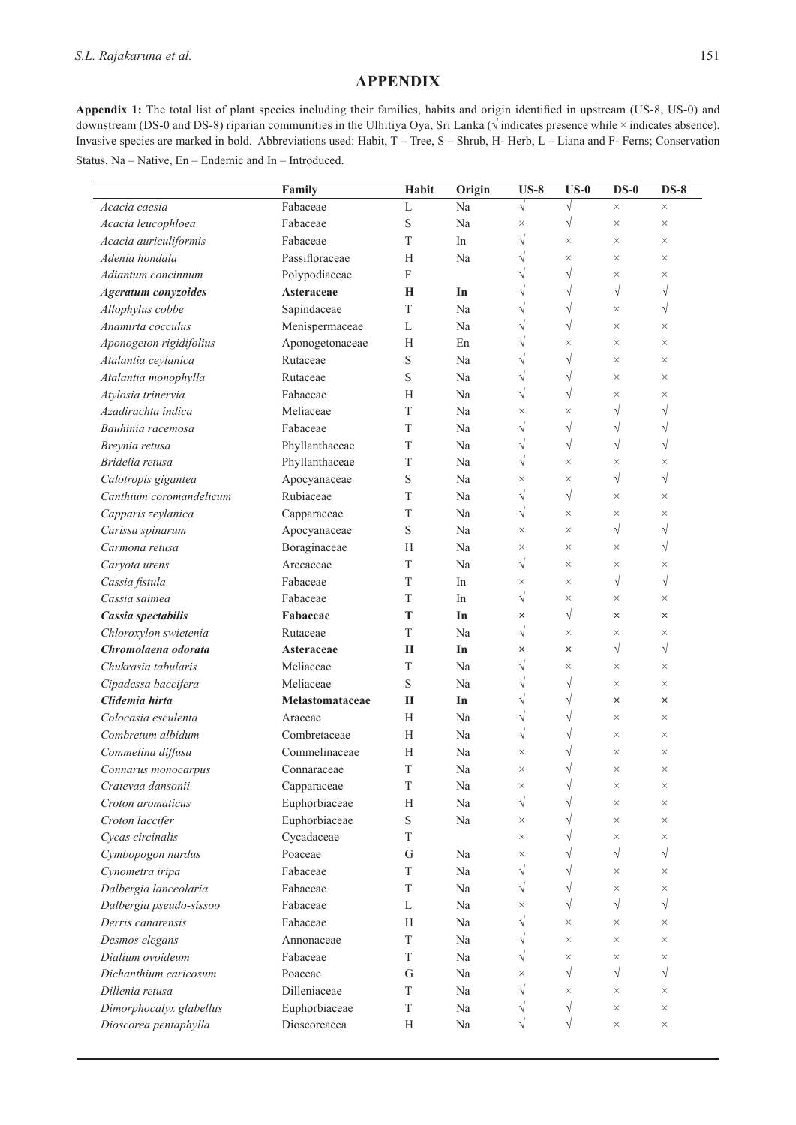# **APPENDIX**

**Appendix 1:** The total list of plant species including their families, habits and origin identified in upstream (US-8, US-0) and downstream (DS-0 and DS-8) riparian communities in the Ulhitiya Oya, Sri Lanka (√ indicates presence while × indicates absence). Invasive species are marked in bold. Abbreviations used: Habit, T – Tree, S – Shrub, H- Herb, L – Liana and F- Ferns; Conservation Status, Na – Native, En – Endemic and In – Introduced.

|                            | Family          | Habit                     | Origin | $US-8$    | $US-0$    | $DS-0$    | $DS-8$    |
|----------------------------|-----------------|---------------------------|--------|-----------|-----------|-----------|-----------|
| Acacia caesia              | Fabaceae        | L                         | Na     | $\sqrt{}$ | $\sqrt{}$ | $\times$  | $\times$  |
| Acacia leucophloea         | Fabaceae        | S                         | Na     | $\times$  | $\sqrt{}$ | $\times$  | $\times$  |
| Acacia auriculiformis      | Fabaceae        | T                         | In     | $\sqrt{}$ | $\times$  | $\times$  | $\times$  |
| Adenia hondala             | Passifloraceae  | H                         | Na     | √         | $\times$  | $\times$  | $\times$  |
| Adiantum concinnum         | Polypodiaceae   | $\boldsymbol{\mathrm{F}}$ |        | √         | $\sqrt{}$ | $\times$  | $\times$  |
| <b>Ageratum</b> conyzoides | Asteraceae      | Н                         | In     | V         | $\sqrt{}$ | $\sqrt{}$ | $\sqrt{}$ |
| Allophylus cobbe           | Sapindaceae     | $\mathbf T$               | Na     | V         | $\sqrt{}$ | $\times$  | $\sqrt{}$ |
| Anamirta cocculus          | Menispermaceae  | L                         | Na     | V         | $\sqrt{}$ | $\times$  | $\times$  |
| Aponogeton rigidifolius    | Aponogetonaceae | Н                         | En     | √         | $\times$  | $\times$  | $\times$  |
| Atalantia ceylanica        | Rutaceae        | S                         | Na     | $\sqrt{}$ | $\sqrt{}$ | $\times$  | $\times$  |
| Atalantia monophylla       | Rutaceae        | S                         | Na     | $\sqrt{}$ | $\sqrt{}$ | $\times$  | $\times$  |
| Atylosia trinervia         | Fabaceae        | Н                         | Na     | $\sqrt{}$ | $\sqrt{}$ | $\times$  | $\times$  |
| Azadirachta indica         | Meliaceae       | T                         | Na     | $\times$  | $\times$  | $\sqrt{}$ | V         |
| Bauhinia racemosa          | Fabaceae        | T                         | Na     | $\sqrt{}$ | $\sqrt{}$ | $\sqrt{}$ | V         |
| Breynia retusa             | Phyllanthaceae  | T                         | Na     | √         | $\sqrt{}$ | $\sqrt{}$ | $\sqrt{}$ |
| Bridelia retusa            | Phyllanthaceae  | T                         | Na     | $\sqrt{}$ | $\times$  | $\times$  | $\times$  |
| Calotropis gigantea        | Apocyanaceae    | S                         | Na     | $\times$  | $\times$  | $\sqrt{}$ | $\sqrt{}$ |
| Canthium coromandelicum    | Rubiaceae       | T                         | Na     | $\sqrt{}$ | $\sqrt{}$ | $\times$  | $\times$  |
| Capparis zeylanica         | Capparaceae     | $\mathbf T$               | Na     | $\sqrt{}$ | $\times$  | $\times$  | $\times$  |
| Carissa spinarum           | Apocyanaceae    | S                         | Na     | $\times$  | $\times$  | $\sqrt{}$ | $\sqrt{}$ |
| Carmona retusa             | Boraginaceae    | Н                         | Na     | $\times$  | $\times$  | $\times$  | V         |
| Caryota urens              | Arecaceae       | T                         | Na     | $\sqrt{}$ | $\times$  | $\times$  | $\times$  |
| Cassia fistula             | Fabaceae        | T                         | In     | $\times$  | $\times$  | $\sqrt{}$ | $\sqrt{}$ |
| Cassia saimea              | Fabaceae        | T                         | In     | √         | $\times$  | $\times$  | $\times$  |
| Cassia spectabilis         | Fabaceae        | T                         | In     | $\times$  | $\sqrt{}$ | ×         | $\times$  |
| Chloroxylon swietenia      | Rutaceae        | T                         | Na     | $\sqrt{}$ | $\times$  | $\times$  | $\times$  |
| Chromolaena odorata        | Asteraceae      | Н                         | In     | ×         | $\times$  | $\sqrt{}$ | $\sqrt{}$ |
| Chukrasia tabularis        | Meliaceae       | T                         | Na     | $\sqrt{}$ | $\times$  | $\times$  | $\times$  |
| Cipadessa baccifera        | Meliaceae       | S                         | Na     | √         | $\sqrt{}$ | $\times$  | $\times$  |
| Clidemia hirta             | Melastomataceae | Н                         | In     | $\sqrt{}$ | $\sqrt{}$ | ×         | ×         |
| Colocasia esculenta        | Araceae         | H                         | Na     | V         | $\sqrt{}$ | $\times$  | $\times$  |
| Combretum albidum          | Combretaceae    | H                         | Na     | $\sqrt{}$ | $\sqrt{}$ | $\times$  | $\times$  |
| Commelina diffusa          | Commelinaceae   | Н                         | Na     | $\times$  |           | $\times$  | $\times$  |
| Connarus monocarpus        | Connaraceae     | T                         | Na     | $\times$  | $\sqrt{}$ | $\times$  | $\times$  |
| Cratevaa dansonii          | Capparaceae     | T                         | Na     | $\times$  | $\sqrt{}$ | $\times$  | $\times$  |
| Croton aromaticus          | Euphorbiaceae   | Н                         | Na     | $\sqrt{}$ | $\sqrt{}$ | $\times$  | $\times$  |
| Croton laccifer            | Euphorbiaceae   | $\mathbf S$               | Na     | $\times$  | $\sqrt{}$ | $\times$  | $\times$  |
| Cycas circinalis           | Cycadaceae      | T                         |        | $\times$  | $\sqrt{}$ | $\times$  | $\times$  |
| Cymbopogon nardus          | Poaceae         | G                         | Na     | $\times$  | $\sqrt{}$ | $\sqrt{}$ | $\sqrt{}$ |
| Cynometra iripa            | Fabaceae        | T                         | Na     | √         | $\sqrt{}$ | $\times$  | $\times$  |
| Dalbergia lanceolaria      | Fabaceae        | T                         | Na     | $\sqrt{}$ | $\sqrt{}$ | $\times$  | $\times$  |
| Dalbergia pseudo-sissoo    | Fabaceae        | L                         | Na     | $\times$  | $\sqrt{}$ | $\sqrt{}$ | $\sqrt{}$ |
| Derris canarensis          | Fabaceae        | H                         | Na     | $\sqrt{}$ | $\times$  | $\times$  | $\times$  |
| Desmos elegans             | Annonaceae      | T                         | Na     | √         | $\times$  | $\times$  | $\times$  |
| Dialium ovoideum           | Fabaceae        | T                         | Na     | V         | $\times$  | $\times$  | $\times$  |
| Dichanthium caricosum      | Poaceae         | G                         | Na     | $\times$  | $\sqrt{}$ | $\sqrt{}$ | $\sqrt{}$ |
| Dillenia retusa            | Dilleniaceae    | T                         | Na     | $\sqrt{}$ | $\times$  | $\times$  | $\times$  |
| Dimorphocalyx glabellus    | Euphorbiaceae   | $\mathbf T$               | Na     | V         | $\sqrt{}$ | $\times$  | $\times$  |
| Dioscorea pentaphylla      | Dioscoreacea    | H                         | Na     | $\sqrt{}$ | $\sqrt{}$ | $\times$  | $\times$  |
|                            |                 |                           |        |           |           |           |           |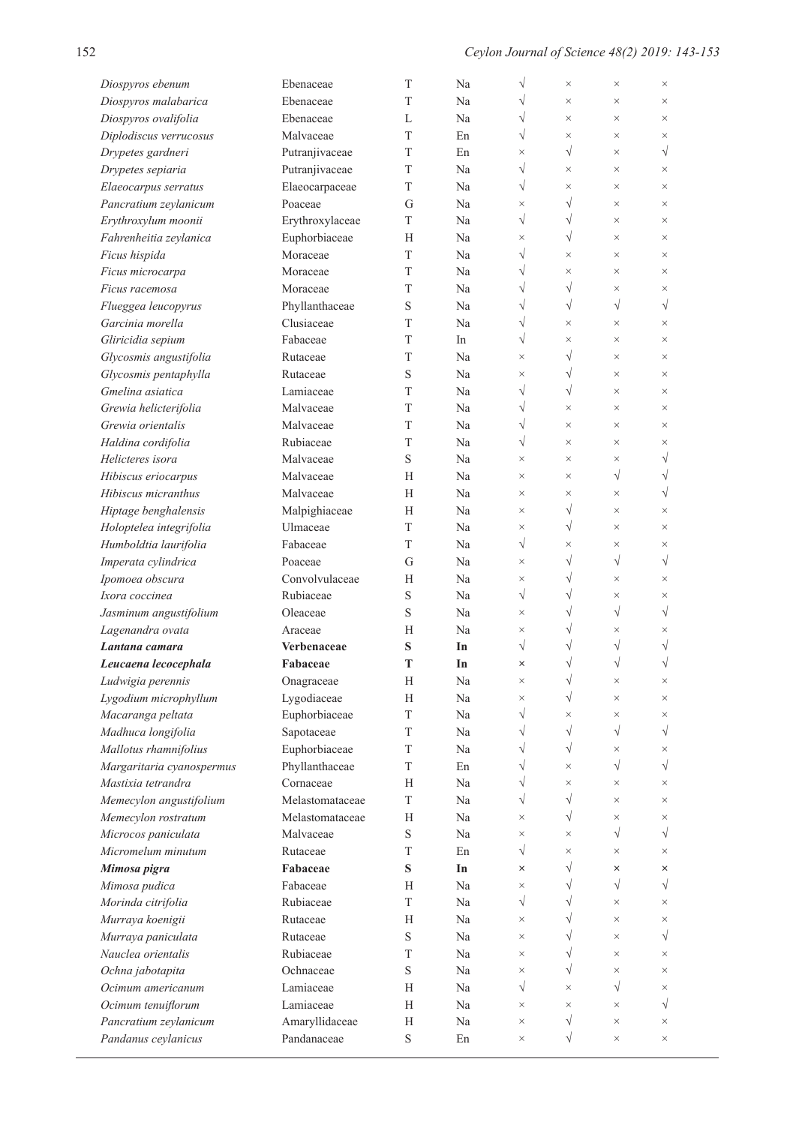$\mathbb{R}^2$ 

| Diospyros ebenum                         | Ebenaceae             | T           | Na       | V                     | $\times$               | $\times$             | $\times$             |
|------------------------------------------|-----------------------|-------------|----------|-----------------------|------------------------|----------------------|----------------------|
| Diospyros malabarica                     | Ebenaceae             | T           | Na       | V                     | $\times$               | $\times$             | $\times$             |
| Diospyros ovalifolia                     | Ebenaceae             | L           | Na       | $\sqrt{}$             | $\times$               | $\times$             | $\times$             |
| Diplodiscus verrucosus                   | Malvaceae             | T           | En       | $\sqrt{}$             | $\times$               | $\times$             | $\times$             |
| Drypetes gardneri                        | Putranjivaceae        | T           | En       | $\times$              | $\sqrt{}$              | $\times$             | $\sqrt{}$            |
| Drypetes sepiaria                        | Putranjivaceae        | T           | Na       | $\sqrt{}$             | $\times$               | $\times$             | $\times$             |
| Elaeocarpus serratus                     | Elaeocarpaceae        | T           | Na       | $\sqrt{}$             | $\times$               | $\times$             | $\times$             |
| Pancratium zeylanicum                    | Poaceae               | G           | Na       | $\times$              | $\sqrt{}$              | $\times$             | $\times$             |
| Erythroxylum moonii                      | Erythroxylaceae       | T           | Na       | $\sqrt{}$             | $\sqrt{}$              | $\times$             | $\times$             |
| Fahrenheitia zeylanica                   | Euphorbiaceae         | Н           | Na       | $\times$              | $\sqrt{}$              | $\times$             | $\times$             |
| Ficus hispida                            | Moraceae              | T           | Na       | $\sqrt{}$             | $\times$               | $\times$             | $\times$             |
| Ficus microcarpa                         | Moraceae              | T           | Na       | $\sqrt{}$             | $\times$               | $\times$             | $\times$             |
| Ficus racemosa                           | Moraceae              | T           | Na       | $\sqrt{}$             | $\sqrt{}$              | $\times$             | $\times$             |
| Flueggea leucopyrus                      | Phyllanthaceae        | $\mathbf S$ | Na       | V                     | $\sqrt{}$              | $\sqrt{}$            | $\sqrt{}$            |
| Garcinia morella                         | Clusiaceae            | T           | Na       | $\sqrt{}$             | $\times$               | $\times$             | $\times$             |
| Gliricidia sepium                        | Fabaceae              | T           | In       | $\sqrt{}$             | $\times$               | $\times$             | $\times$             |
| Glycosmis angustifolia                   | Rutaceae              | T           | Na       | $\times$              | $\sqrt{}$              | $\times$             | $\times$             |
| Glycosmis pentaphylla                    | Rutaceae              | S           | Na       | $\times$              | $\sqrt{}$              | $\times$             | $\times$             |
| Gmelina asiatica                         | Lamiaceae             | T           | Na       | $\sqrt{}$             | $\sqrt{}$              | $\times$             | $\times$             |
| Grewia helicterifolia                    | Malvaceae             | T           | Na       | $\sqrt{}$             | $\times$               | $\times$             | $\times$             |
| Grewia orientalis                        | Malvaceae             | T           | Na       | $\sqrt{}$             | $\times$               | $\times$             | $\times$             |
| Haldina cordifolia                       | Rubiaceae             | T           | Na       | $\sqrt{}$             | $\times$               | $\times$             | $\times$             |
| Helicteres isora                         | Malvaceae             | $\mathbf S$ | Na       | $\times$              | $\times$               | $\times$             | V                    |
| Hibiscus eriocarpus                      | Malvaceae             | H           | Na       | $\times$              | $\times$               | $\sqrt{}$            | $\sqrt{}$            |
| Hibiscus micranthus                      | Malvaceae             | H           | Na       | $\times$              | $\times$               | $\times$             | $\sqrt{}$            |
| Hiptage benghalensis                     | Malpighiaceae         | H           | Na       | $\times$              | $\sqrt{}$              | $\times$             | $\times$             |
| Holoptelea integrifolia                  | Ulmaceae              | T           | Na       | $\times$              | $\sqrt{}$              | $\times$             | $\times$             |
| Humboldtia laurifolia                    | Fabaceae              | T           | Na       | $\sqrt{}$             | $\times$               | $\times$             | $\times$             |
| Imperata cylindrica                      | Poaceae               | G           | Na       | $\times$              | $\sqrt{}$              | $\sqrt{}$            | $\sqrt{}$            |
| Ipomoea obscura                          | Convolvulaceae        | Н           | Na       | $\times$              | V                      | $\times$             | $\times$             |
| Ixora coccinea                           | Rubiaceae             | $\mathbf S$ | Na       | $\sqrt{}$             | V                      | $\times$             | $\times$             |
| Jasminum angustifolium                   | Oleaceae              | S           | Na       | $\times$              | V                      | $\sqrt{}$            | $\sqrt{}$            |
| Lagenandra ovata                         | Araceae               | Н           | Na       | $\times$              | N                      | $\times$             | $\times$             |
| Lantana camara                           | Verbenaceae           | S           | In       | $\sqrt{}$             |                        | V                    | V                    |
| Leucaena lecocephala                     | Fabaceae              | T           | In       | $\times$              |                        | V                    |                      |
| Ludwigia perennis                        | Onagraceae            | $\mathbf H$ | Na       | ×                     |                        | ×                    | ×                    |
| Lygodium microphyllum                    | Lygodiaceae           | H           | Na       | $\times$              | $\sqrt{}$              | $\times$             | $\times$             |
| Macaranga peltata                        | Euphorbiaceae         | $\mathbf T$ | Na       | $\sqrt{}$             | $\times$               | $\times$             | $\times$             |
| Madhuca longifolia                       | Sapotaceae            | T           | Na       | V                     | $\sqrt{}$              | $\sqrt{}$            | $\sqrt{}$            |
| Mallotus rhamnifolius                    | Euphorbiaceae         | $\mathbf T$ | Na       | V                     | $\sqrt{}$              | $\times$             | $\times$             |
| Margaritaria cyanospermus                | Phyllanthaceae        | T           | En       | V                     | $\times$               | $\sqrt{}$            | $\sqrt{}$            |
| Mastixia tetrandra                       | Cornaceae             | H           | Na       | V                     | $\times$               | $\times$             | $\times$             |
| Memecylon angustifolium                  | Melastomataceae       | T           | Na       | $\sqrt{}$             | $\sqrt{}$              | $\times$             | $\times$             |
| Memecylon rostratum                      | Melastomataceae       | H           | Na       | $\times$              | $\sqrt{}$              | $\times$             | $\times$             |
| Microcos paniculata                      | Malvaceae             | $\mathbf S$ | Na       | $\times$              | $\times$               | $\sqrt{}$            | $\sqrt{}$            |
| Micromelum minutum                       | Rutaceae              | T           | En       | $\sqrt{}$             | $\times$<br>$\sqrt{}$  | $\times$             | $\times$             |
| Mimosa pigra                             | Fabaceae<br>Fabaceae  | ${\bf S}$   | In       | ×                     | $\sqrt{}$              | ×<br>$\sqrt{}$       | ×<br>$\sqrt{}$       |
| Mimosa pudica                            |                       | H<br>T      | Na       | $\times$<br>$\sqrt{}$ | $\sqrt{}$              |                      |                      |
| Morinda citrifolia                       | Rubiaceae<br>Rutaceae | H           | Na       | $\times$              | $\sqrt{}$              | $\times$<br>$\times$ | $\times$<br>$\times$ |
| Murraya koenigii                         |                       |             | Na       |                       |                        |                      |                      |
| Murraya paniculata<br>Nauclea orientalis | Rutaceae<br>Rubiaceae | S<br>T      | Na       | $\times$              | $\sqrt{}$<br>$\sqrt{}$ | $\times$             | $\sqrt{}$            |
|                                          | Ochnaceae             | S           | Na<br>Na | $\times$<br>$\times$  | $\sqrt{}$              | $\times$<br>$\times$ | $\times$<br>$\times$ |
| Ochna jabotapita<br>Ocimum americanum    | Lamiaceae             | H           | Na       | $\sqrt{}$             | $\times$               | $\sqrt{}$            | $\times$             |
| Ocimum tenuiflorum                       | Lamiaceae             | H           | Na       | $\times$              | $\times$               | $\times$             | $\sqrt{}$            |
| Pancratium zeylanicum                    | Amaryllidaceae        | H           | Na       | $\times$              | $\sqrt{}$              | $\times$             | $\times$             |
| Pandanus ceylanicus                      | Pandanaceae           | $\mathbf S$ | En       | $\times$              | $\sqrt{}$              | $\times$             | $\times$             |
|                                          |                       |             |          |                       |                        |                      |                      |